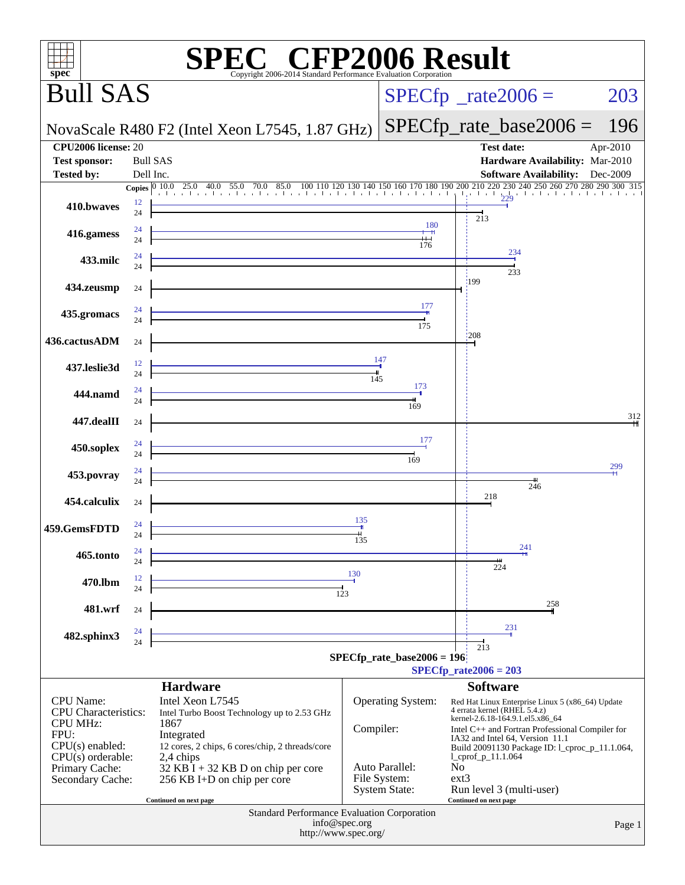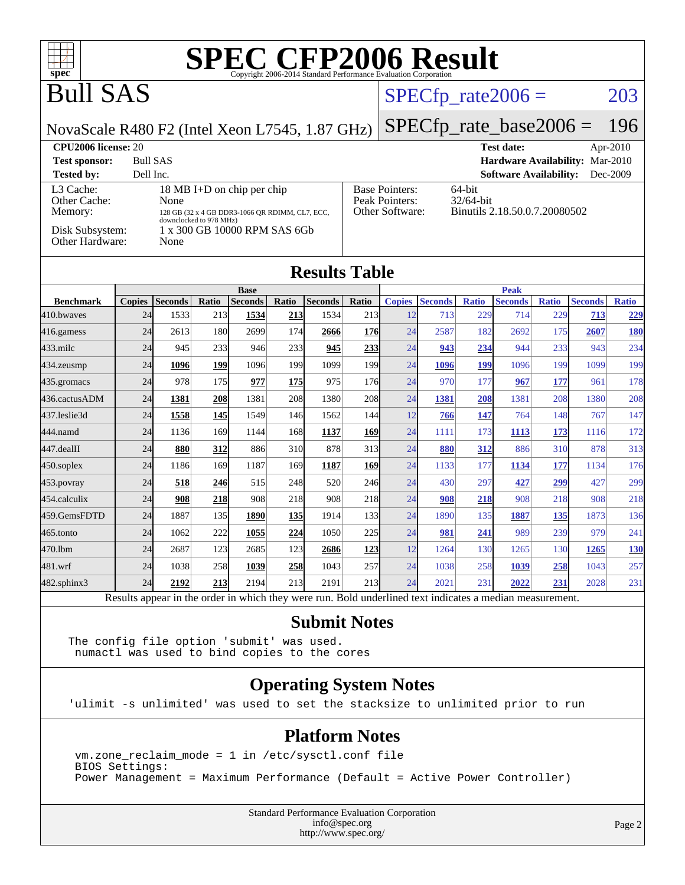

### Bull SAS

#### $SPECTp_rate2006 = 203$

NovaScale R480 F2 (Intel Xeon L7545, 1.87 GHz)

[SPECfp\\_rate\\_base2006 =](http://www.spec.org/auto/cpu2006/Docs/result-fields.html#SPECfpratebase2006) 196

| <b>CPU2006 license: 20</b>           |                                                                                       |                                                            | <b>Test date:</b><br>Apr-2010                           |
|--------------------------------------|---------------------------------------------------------------------------------------|------------------------------------------------------------|---------------------------------------------------------|
| <b>Test sponsor:</b>                 | <b>Bull SAS</b>                                                                       |                                                            | <b>Hardware Availability: Mar-2010</b>                  |
| <b>Tested by:</b>                    | Dell Inc.                                                                             |                                                            | <b>Software Availability:</b><br>Dec-2009               |
| L3 Cache:<br>Other Cache:<br>Memory: | 18 MB I+D on chip per chip<br>None<br>128 GB (32 x 4 GB DDR3-1066 OR RDIMM, CL7, ECC, | <b>Base Pointers:</b><br>Peak Pointers:<br>Other Software: | 64-bit<br>$32/64$ -bit<br>Binutils 2.18.50.0.7.20080502 |
| Disk Subsystem:<br>Other Hardware:   | downclocked to 978 MHz)<br>1 x 300 GB 10000 RPM SAS 6Gb<br>None                       |                                                            |                                                         |

| <b>Results Table</b> |               |                |            |                                                                                                        |            |                |                  |               |                |              |                |              |                |              |
|----------------------|---------------|----------------|------------|--------------------------------------------------------------------------------------------------------|------------|----------------|------------------|---------------|----------------|--------------|----------------|--------------|----------------|--------------|
|                      | <b>Base</b>   |                |            |                                                                                                        |            | <b>Peak</b>    |                  |               |                |              |                |              |                |              |
| <b>Benchmark</b>     | <b>Copies</b> | <b>Seconds</b> | Ratio      | <b>Seconds</b>                                                                                         | Ratio      | <b>Seconds</b> | Ratio            | <b>Copies</b> | <b>Seconds</b> | <b>Ratio</b> | <b>Seconds</b> | <b>Ratio</b> | <b>Seconds</b> | <b>Ratio</b> |
| 410.bwayes           | 24            | 1533           | 213        | 1534                                                                                                   | <u>213</u> | 1534           | 213 <sup> </sup> | 12            | 713            | 229          | 714            | 229          | 713            | <u>229</u>   |
| 416.gamess           | 24            | 2613           | 180        | 2699                                                                                                   | 174        | 2666           | 176              | 24            | 2587           | 182          | 2692           | 175          | 2607           | <u>180</u>   |
| $433$ .milc          | 24            | 945            | 233        | 946                                                                                                    | 233        | 945            | 233              | 24            | 943            | 234          | 944            | 233          | 943            | 234          |
| 434.zeusmp           | 24            | 1096           | <u>199</u> | 1096                                                                                                   | 199        | 1099           | 199              | 24            | 1096           | 199          | 1096           | 199          | 1099           | 199          |
| 435.gromacs          | 24            | 978            | 175        | 977                                                                                                    | 175        | 975            | 176              | 24            | 970            | 177          | 967            | 177          | 961            | 178          |
| 436.cactusADM        | 24            | 1381           | 208        | 1381                                                                                                   | 208        | 1380           | 208              | 24            | 1381           | 208          | 1381           | 208          | 1380           | 208          |
| 437.leslie3d         | 24            | 1558           | <b>145</b> | 1549                                                                                                   | 146        | 1562           | 144              | 12            | 766            | 147          | 764            | 148          | 767            | 147          |
| 444.namd             | 24            | 1136           | 169        | 1144                                                                                                   | 168        | 1137           | 169              | 24            | 1111           | 173          | 1113           | 173          | 1116           | 172          |
| 447.dealII           | 24            | 880            | 312        | 886                                                                                                    | 310        | 878            | 313              | 24            | 880            | 312          | 886            | 310          | 878            | 313          |
| $450$ .soplex        | 24            | 1186           | 169        | 1187                                                                                                   | 169        | 1187           | 169              | 24            | 1133           | 177          | 1134           | 177          | 1134           | 176          |
| $453$ .povray        | 24            | 518            | 246        | 515                                                                                                    | 248        | 520            | 246              | 24            | 430            | 297          | 427            | 299          | 427            | 299          |
| 454.calculix         | 24            | 908            | 218        | 908                                                                                                    | 218        | 908            | 218              | 24            | 908            | 218          | 908            | 218          | 908            | 218          |
| 459.GemsFDTD         | 24            | 1887           | 135        | 1890                                                                                                   | 135        | 1914           | 133              | 24            | 1890           | 135          | 1887           | 135          | 1873           | 136          |
| $465$ .tonto         | 24            | 1062           | 222        | 1055                                                                                                   | 224        | 1050           | 225              | 24            | 981            | 241          | 989            | 239          | 979            | 241          |
| 470.1bm              | 24            | 2687           | 123        | 2685                                                                                                   | 123        | 2686           | 123              | 12            | 1264           | 130          | 1265           | 130          | 1265           | <b>130</b>   |
| 481.wrf              | 24            | 1038           | 258        | 1039                                                                                                   | 258        | 1043           | 257              | 24            | 1038           | 258          | 1039           | 258          | 1043           | 257          |
| 482.sphinx3          | 24            | 2192           | 213        | 2194                                                                                                   | 213        | 2191           | 213              | 24            | 2021           | 231          | 2022           | 231          | 2028           | 231          |
|                      |               |                |            | Decute ennear in the order in which thay were run. Dold underlined toxt indicates a modian measurement |            |                |                  |               |                |              |                |              |                |              |

Results appear in the [order in which they were run.](http://www.spec.org/auto/cpu2006/Docs/result-fields.html#RunOrder) Bold underlined text [indicates a median measurement.](http://www.spec.org/auto/cpu2006/Docs/result-fields.html#Median)

#### **[Submit Notes](http://www.spec.org/auto/cpu2006/Docs/result-fields.html#SubmitNotes)**

The config file option 'submit' was used. numactl was used to bind copies to the cores

#### **[Operating System Notes](http://www.spec.org/auto/cpu2006/Docs/result-fields.html#OperatingSystemNotes)**

'ulimit -s unlimited' was used to set the stacksize to unlimited prior to run

#### **[Platform Notes](http://www.spec.org/auto/cpu2006/Docs/result-fields.html#PlatformNotes)**

 vm.zone\_reclaim\_mode = 1 in /etc/sysctl.conf file BIOS Settings: Power Management = Maximum Performance (Default = Active Power Controller)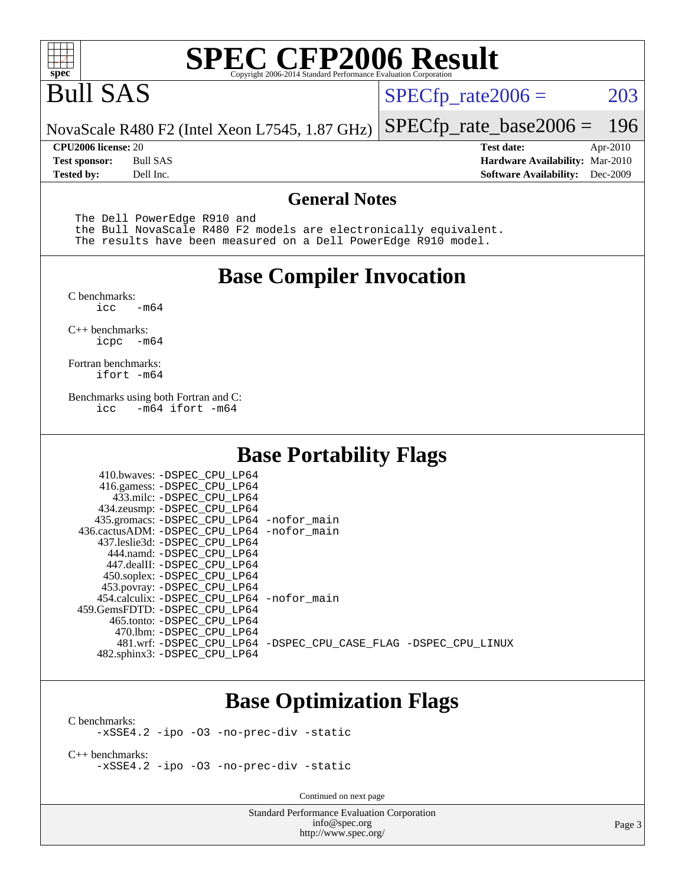

### Bull SAS

 $SPECTp_rate2006 = 203$ 

[SPECfp\\_rate\\_base2006 =](http://www.spec.org/auto/cpu2006/Docs/result-fields.html#SPECfpratebase2006) 196

NovaScale R480 F2 (Intel Xeon L7545, 1.87 GHz)

**[Tested by:](http://www.spec.org/auto/cpu2006/Docs/result-fields.html#Testedby)** Dell Inc. **[Software Availability:](http://www.spec.org/auto/cpu2006/Docs/result-fields.html#SoftwareAvailability)** Dec-2009

**[CPU2006 license:](http://www.spec.org/auto/cpu2006/Docs/result-fields.html#CPU2006license)** 20 **[Test date:](http://www.spec.org/auto/cpu2006/Docs/result-fields.html#Testdate)** Apr-2010 **[Test sponsor:](http://www.spec.org/auto/cpu2006/Docs/result-fields.html#Testsponsor)** Bull SAS **[Hardware Availability:](http://www.spec.org/auto/cpu2006/Docs/result-fields.html#HardwareAvailability)** Mar-2010

#### **[General Notes](http://www.spec.org/auto/cpu2006/Docs/result-fields.html#GeneralNotes)**

The Dell PowerEdge R910 and

 the Bull NovaScale R480 F2 models are electronically equivalent. The results have been measured on a Dell PowerEdge R910 model.

#### **[Base Compiler Invocation](http://www.spec.org/auto/cpu2006/Docs/result-fields.html#BaseCompilerInvocation)**

[C benchmarks](http://www.spec.org/auto/cpu2006/Docs/result-fields.html#Cbenchmarks):  $-m64$ 

[C++ benchmarks:](http://www.spec.org/auto/cpu2006/Docs/result-fields.html#CXXbenchmarks) [icpc -m64](http://www.spec.org/cpu2006/results/res2010q3/cpu2006-20100621-11909.flags.html#user_CXXbase_intel_icpc_64bit_bedb90c1146cab66620883ef4f41a67e)

[Fortran benchmarks](http://www.spec.org/auto/cpu2006/Docs/result-fields.html#Fortranbenchmarks): [ifort -m64](http://www.spec.org/cpu2006/results/res2010q3/cpu2006-20100621-11909.flags.html#user_FCbase_intel_ifort_64bit_ee9d0fb25645d0210d97eb0527dcc06e)

[Benchmarks using both Fortran and C](http://www.spec.org/auto/cpu2006/Docs/result-fields.html#BenchmarksusingbothFortranandC): [icc -m64](http://www.spec.org/cpu2006/results/res2010q3/cpu2006-20100621-11909.flags.html#user_CC_FCbase_intel_icc_64bit_0b7121f5ab7cfabee23d88897260401c) [ifort -m64](http://www.spec.org/cpu2006/results/res2010q3/cpu2006-20100621-11909.flags.html#user_CC_FCbase_intel_ifort_64bit_ee9d0fb25645d0210d97eb0527dcc06e)

#### **[Base Portability Flags](http://www.spec.org/auto/cpu2006/Docs/result-fields.html#BasePortabilityFlags)**

| 410.bwaves: -DSPEC CPU LP64<br>416.gamess: -DSPEC_CPU_LP64<br>433.milc: -DSPEC CPU LP64<br>434.zeusmp: -DSPEC_CPU_LP64<br>435.gromacs: -DSPEC_CPU_LP64 -nofor_main<br>436.cactusADM: -DSPEC CPU LP64 -nofor main<br>437.leslie3d: -DSPEC_CPU LP64 |                                                                |
|---------------------------------------------------------------------------------------------------------------------------------------------------------------------------------------------------------------------------------------------------|----------------------------------------------------------------|
| 444.namd: -DSPEC CPU LP64<br>447.dealII: -DSPEC_CPU LP64                                                                                                                                                                                          |                                                                |
| 450.soplex: -DSPEC_CPU_LP64<br>453.povray: -DSPEC_CPU_LP64                                                                                                                                                                                        |                                                                |
| 454.calculix: - DSPEC CPU LP64 - nofor main<br>459.GemsFDTD: -DSPEC_CPU LP64                                                                                                                                                                      |                                                                |
| 465.tonto: - DSPEC_CPU LP64<br>470.1bm: - DSPEC CPU LP64<br>482.sphinx3: -DSPEC_CPU_LP64                                                                                                                                                          | 481.wrf: -DSPEC CPU_LP64 -DSPEC_CPU_CASE_FLAG -DSPEC_CPU_LINUX |

#### **[Base Optimization Flags](http://www.spec.org/auto/cpu2006/Docs/result-fields.html#BaseOptimizationFlags)**

[C benchmarks](http://www.spec.org/auto/cpu2006/Docs/result-fields.html#Cbenchmarks): [-xSSE4.2](http://www.spec.org/cpu2006/results/res2010q3/cpu2006-20100621-11909.flags.html#user_CCbase_f-xSSE42_f91528193cf0b216347adb8b939d4107) [-ipo](http://www.spec.org/cpu2006/results/res2010q3/cpu2006-20100621-11909.flags.html#user_CCbase_f-ipo) [-O3](http://www.spec.org/cpu2006/results/res2010q3/cpu2006-20100621-11909.flags.html#user_CCbase_f-O3) [-no-prec-div](http://www.spec.org/cpu2006/results/res2010q3/cpu2006-20100621-11909.flags.html#user_CCbase_f-no-prec-div) [-static](http://www.spec.org/cpu2006/results/res2010q3/cpu2006-20100621-11909.flags.html#user_CCbase_f-static)

[C++ benchmarks:](http://www.spec.org/auto/cpu2006/Docs/result-fields.html#CXXbenchmarks) [-xSSE4.2](http://www.spec.org/cpu2006/results/res2010q3/cpu2006-20100621-11909.flags.html#user_CXXbase_f-xSSE42_f91528193cf0b216347adb8b939d4107) [-ipo](http://www.spec.org/cpu2006/results/res2010q3/cpu2006-20100621-11909.flags.html#user_CXXbase_f-ipo) [-O3](http://www.spec.org/cpu2006/results/res2010q3/cpu2006-20100621-11909.flags.html#user_CXXbase_f-O3) [-no-prec-div](http://www.spec.org/cpu2006/results/res2010q3/cpu2006-20100621-11909.flags.html#user_CXXbase_f-no-prec-div) [-static](http://www.spec.org/cpu2006/results/res2010q3/cpu2006-20100621-11909.flags.html#user_CXXbase_f-static)

Continued on next page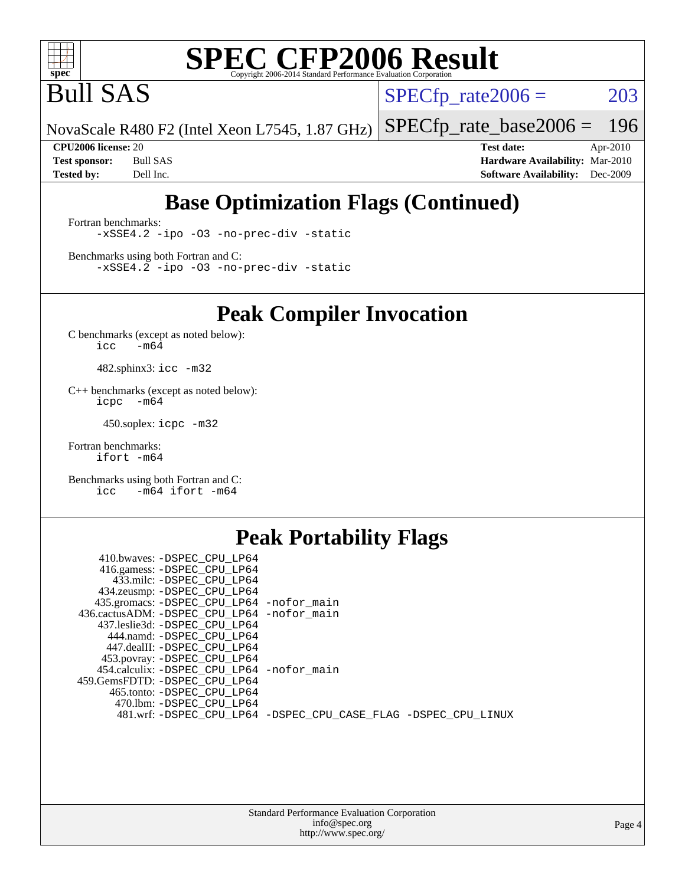

Bull SAS

 $SPECTp_rate2006 = 203$ 

NovaScale R480 F2 (Intel Xeon L7545, 1.87 GHz) [SPECfp\\_rate\\_base2006 =](http://www.spec.org/auto/cpu2006/Docs/result-fields.html#SPECfpratebase2006) 196

**[CPU2006 license:](http://www.spec.org/auto/cpu2006/Docs/result-fields.html#CPU2006license)** 20 **[Test date:](http://www.spec.org/auto/cpu2006/Docs/result-fields.html#Testdate)** Apr-2010 **[Test sponsor:](http://www.spec.org/auto/cpu2006/Docs/result-fields.html#Testsponsor)** Bull SAS **[Hardware Availability:](http://www.spec.org/auto/cpu2006/Docs/result-fields.html#HardwareAvailability)** Mar-2010 **[Tested by:](http://www.spec.org/auto/cpu2006/Docs/result-fields.html#Testedby)** Dell Inc. **[Software Availability:](http://www.spec.org/auto/cpu2006/Docs/result-fields.html#SoftwareAvailability)** Dec-2009

#### **[Base Optimization Flags \(Continued\)](http://www.spec.org/auto/cpu2006/Docs/result-fields.html#BaseOptimizationFlags)**

[Fortran benchmarks](http://www.spec.org/auto/cpu2006/Docs/result-fields.html#Fortranbenchmarks): [-xSSE4.2](http://www.spec.org/cpu2006/results/res2010q3/cpu2006-20100621-11909.flags.html#user_FCbase_f-xSSE42_f91528193cf0b216347adb8b939d4107) [-ipo](http://www.spec.org/cpu2006/results/res2010q3/cpu2006-20100621-11909.flags.html#user_FCbase_f-ipo) [-O3](http://www.spec.org/cpu2006/results/res2010q3/cpu2006-20100621-11909.flags.html#user_FCbase_f-O3) [-no-prec-div](http://www.spec.org/cpu2006/results/res2010q3/cpu2006-20100621-11909.flags.html#user_FCbase_f-no-prec-div) [-static](http://www.spec.org/cpu2006/results/res2010q3/cpu2006-20100621-11909.flags.html#user_FCbase_f-static)

[Benchmarks using both Fortran and C](http://www.spec.org/auto/cpu2006/Docs/result-fields.html#BenchmarksusingbothFortranandC): [-xSSE4.2](http://www.spec.org/cpu2006/results/res2010q3/cpu2006-20100621-11909.flags.html#user_CC_FCbase_f-xSSE42_f91528193cf0b216347adb8b939d4107) [-ipo](http://www.spec.org/cpu2006/results/res2010q3/cpu2006-20100621-11909.flags.html#user_CC_FCbase_f-ipo) [-O3](http://www.spec.org/cpu2006/results/res2010q3/cpu2006-20100621-11909.flags.html#user_CC_FCbase_f-O3) [-no-prec-div](http://www.spec.org/cpu2006/results/res2010q3/cpu2006-20100621-11909.flags.html#user_CC_FCbase_f-no-prec-div) [-static](http://www.spec.org/cpu2006/results/res2010q3/cpu2006-20100621-11909.flags.html#user_CC_FCbase_f-static)

**[Peak Compiler Invocation](http://www.spec.org/auto/cpu2006/Docs/result-fields.html#PeakCompilerInvocation)**

[C benchmarks \(except as noted below\)](http://www.spec.org/auto/cpu2006/Docs/result-fields.html#Cbenchmarksexceptasnotedbelow):  $\text{icc}$  -m64

482.sphinx3: [icc -m32](http://www.spec.org/cpu2006/results/res2010q3/cpu2006-20100621-11909.flags.html#user_peakCCLD482_sphinx3_intel_icc_32bit_a6a621f8d50482236b970c6ac5f55f93)

[C++ benchmarks \(except as noted below\):](http://www.spec.org/auto/cpu2006/Docs/result-fields.html#CXXbenchmarksexceptasnotedbelow) [icpc -m64](http://www.spec.org/cpu2006/results/res2010q3/cpu2006-20100621-11909.flags.html#user_CXXpeak_intel_icpc_64bit_bedb90c1146cab66620883ef4f41a67e)

450.soplex: [icpc -m32](http://www.spec.org/cpu2006/results/res2010q3/cpu2006-20100621-11909.flags.html#user_peakCXXLD450_soplex_intel_icpc_32bit_4e5a5ef1a53fd332b3c49e69c3330699)

[Fortran benchmarks](http://www.spec.org/auto/cpu2006/Docs/result-fields.html#Fortranbenchmarks): [ifort -m64](http://www.spec.org/cpu2006/results/res2010q3/cpu2006-20100621-11909.flags.html#user_FCpeak_intel_ifort_64bit_ee9d0fb25645d0210d97eb0527dcc06e)

[Benchmarks using both Fortran and C](http://www.spec.org/auto/cpu2006/Docs/result-fields.html#BenchmarksusingbothFortranandC): [icc -m64](http://www.spec.org/cpu2006/results/res2010q3/cpu2006-20100621-11909.flags.html#user_CC_FCpeak_intel_icc_64bit_0b7121f5ab7cfabee23d88897260401c) [ifort -m64](http://www.spec.org/cpu2006/results/res2010q3/cpu2006-20100621-11909.flags.html#user_CC_FCpeak_intel_ifort_64bit_ee9d0fb25645d0210d97eb0527dcc06e)

#### **[Peak Portability Flags](http://www.spec.org/auto/cpu2006/Docs/result-fields.html#PeakPortabilityFlags)**

| 410.bwaves: -DSPEC CPU LP64                |                                                                |
|--------------------------------------------|----------------------------------------------------------------|
| 416.gamess: -DSPEC_CPU_LP64                |                                                                |
| 433.milc: -DSPEC CPU LP64                  |                                                                |
| 434.zeusmp: -DSPEC_CPU_LP64                |                                                                |
| 435.gromacs: -DSPEC_CPU_LP64 -nofor_main   |                                                                |
| 436.cactusADM: -DSPEC CPU LP64 -nofor main |                                                                |
| 437.leslie3d: -DSPEC CPU LP64              |                                                                |
| 444.namd: -DSPEC CPU LP64                  |                                                                |
| 447.dealII: -DSPEC CPU LP64                |                                                                |
| 453.povray: -DSPEC_CPU_LP64                |                                                                |
| 454.calculix: -DSPEC_CPU_LP64 -nofor_main  |                                                                |
| 459.GemsFDTD: -DSPEC CPU LP64              |                                                                |
| 465.tonto: -DSPEC CPU LP64                 |                                                                |
| 470.1bm: - DSPEC CPU LP64                  |                                                                |
|                                            | 481.wrf: -DSPEC_CPU_LP64 -DSPEC_CPU_CASE_FLAG -DSPEC_CPU_LINUX |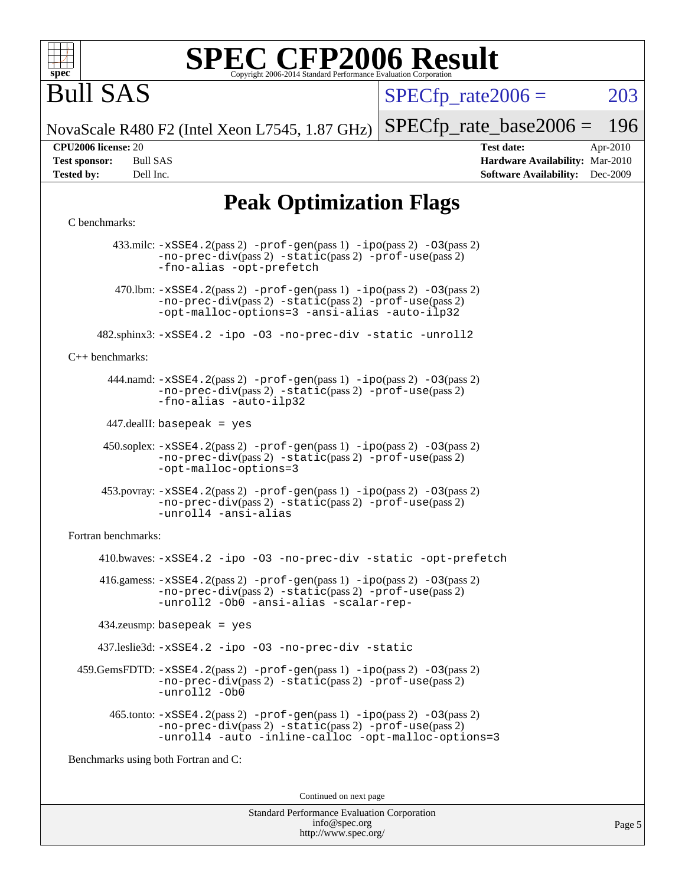

Bull SAS

 $SPECTp\_rate2006 = 203$ 

NovaScale R480 F2 (Intel Xeon L7545, 1.87 GHz) [SPECfp\\_rate\\_base2006 =](http://www.spec.org/auto/cpu2006/Docs/result-fields.html#SPECfpratebase2006) 196

**[CPU2006 license:](http://www.spec.org/auto/cpu2006/Docs/result-fields.html#CPU2006license)** 20 **[Test date:](http://www.spec.org/auto/cpu2006/Docs/result-fields.html#Testdate)** Apr-2010 **[Test sponsor:](http://www.spec.org/auto/cpu2006/Docs/result-fields.html#Testsponsor)** Bull SAS **[Hardware Availability:](http://www.spec.org/auto/cpu2006/Docs/result-fields.html#HardwareAvailability)** Mar-2010 **[Tested by:](http://www.spec.org/auto/cpu2006/Docs/result-fields.html#Testedby)** Dell Inc. **[Software Availability:](http://www.spec.org/auto/cpu2006/Docs/result-fields.html#SoftwareAvailability)** Dec-2009

#### **[Peak Optimization Flags](http://www.spec.org/auto/cpu2006/Docs/result-fields.html#PeakOptimizationFlags)**

#### [C benchmarks](http://www.spec.org/auto/cpu2006/Docs/result-fields.html#Cbenchmarks):

 433.milc: [-xSSE4.2](http://www.spec.org/cpu2006/results/res2010q3/cpu2006-20100621-11909.flags.html#user_peakPASS2_CFLAGSPASS2_LDFLAGS433_milc_f-xSSE42_f91528193cf0b216347adb8b939d4107)(pass 2) [-prof-gen](http://www.spec.org/cpu2006/results/res2010q3/cpu2006-20100621-11909.flags.html#user_peakPASS1_CFLAGSPASS1_LDFLAGS433_milc_prof_gen_e43856698f6ca7b7e442dfd80e94a8fc)(pass 1) [-ipo](http://www.spec.org/cpu2006/results/res2010q3/cpu2006-20100621-11909.flags.html#user_peakPASS2_CFLAGSPASS2_LDFLAGS433_milc_f-ipo)(pass 2) [-O3](http://www.spec.org/cpu2006/results/res2010q3/cpu2006-20100621-11909.flags.html#user_peakPASS2_CFLAGSPASS2_LDFLAGS433_milc_f-O3)(pass 2) [-no-prec-div](http://www.spec.org/cpu2006/results/res2010q3/cpu2006-20100621-11909.flags.html#user_peakPASS2_CFLAGSPASS2_LDFLAGS433_milc_f-no-prec-div)(pass 2) [-static](http://www.spec.org/cpu2006/results/res2010q3/cpu2006-20100621-11909.flags.html#user_peakPASS2_CFLAGSPASS2_LDFLAGS433_milc_f-static)(pass 2) [-prof-use](http://www.spec.org/cpu2006/results/res2010q3/cpu2006-20100621-11909.flags.html#user_peakPASS2_CFLAGSPASS2_LDFLAGS433_milc_prof_use_bccf7792157ff70d64e32fe3e1250b55)(pass 2) [-fno-alias](http://www.spec.org/cpu2006/results/res2010q3/cpu2006-20100621-11909.flags.html#user_peakOPTIMIZE433_milc_f-no-alias_694e77f6c5a51e658e82ccff53a9e63a) [-opt-prefetch](http://www.spec.org/cpu2006/results/res2010q3/cpu2006-20100621-11909.flags.html#user_peakOPTIMIZE433_milc_f-opt-prefetch) 470.1bm:  $-xSSE4$ . 2(pass 2)  $-prof-gen(pass 1) -ipo(pass 2) -O3(pass 2)$  $-prof-gen(pass 1) -ipo(pass 2) -O3(pass 2)$  $-prof-gen(pass 1) -ipo(pass 2) -O3(pass 2)$  $-prof-gen(pass 1) -ipo(pass 2) -O3(pass 2)$  $-prof-gen(pass 1) -ipo(pass 2) -O3(pass 2)$  $-prof-gen(pass 1) -ipo(pass 2) -O3(pass 2)$ [-no-prec-div](http://www.spec.org/cpu2006/results/res2010q3/cpu2006-20100621-11909.flags.html#user_peakPASS2_CFLAGSPASS2_LDFLAGS470_lbm_f-no-prec-div)(pass 2) [-static](http://www.spec.org/cpu2006/results/res2010q3/cpu2006-20100621-11909.flags.html#user_peakPASS2_CFLAGSPASS2_LDFLAGS470_lbm_f-static)(pass 2) [-prof-use](http://www.spec.org/cpu2006/results/res2010q3/cpu2006-20100621-11909.flags.html#user_peakPASS2_CFLAGSPASS2_LDFLAGS470_lbm_prof_use_bccf7792157ff70d64e32fe3e1250b55)(pass 2) [-opt-malloc-options=3](http://www.spec.org/cpu2006/results/res2010q3/cpu2006-20100621-11909.flags.html#user_peakOPTIMIZE470_lbm_f-opt-malloc-options_13ab9b803cf986b4ee62f0a5998c2238) [-ansi-alias](http://www.spec.org/cpu2006/results/res2010q3/cpu2006-20100621-11909.flags.html#user_peakOPTIMIZE470_lbm_f-ansi-alias) [-auto-ilp32](http://www.spec.org/cpu2006/results/res2010q3/cpu2006-20100621-11909.flags.html#user_peakCOPTIMIZE470_lbm_f-auto-ilp32) 482.sphinx3: [-xSSE4.2](http://www.spec.org/cpu2006/results/res2010q3/cpu2006-20100621-11909.flags.html#user_peakOPTIMIZE482_sphinx3_f-xSSE42_f91528193cf0b216347adb8b939d4107) [-ipo](http://www.spec.org/cpu2006/results/res2010q3/cpu2006-20100621-11909.flags.html#user_peakOPTIMIZE482_sphinx3_f-ipo) [-O3](http://www.spec.org/cpu2006/results/res2010q3/cpu2006-20100621-11909.flags.html#user_peakOPTIMIZE482_sphinx3_f-O3) [-no-prec-div](http://www.spec.org/cpu2006/results/res2010q3/cpu2006-20100621-11909.flags.html#user_peakOPTIMIZE482_sphinx3_f-no-prec-div) [-static](http://www.spec.org/cpu2006/results/res2010q3/cpu2006-20100621-11909.flags.html#user_peakOPTIMIZE482_sphinx3_f-static) [-unroll2](http://www.spec.org/cpu2006/results/res2010q3/cpu2006-20100621-11909.flags.html#user_peakCOPTIMIZE482_sphinx3_f-unroll_784dae83bebfb236979b41d2422d7ec2) [C++ benchmarks:](http://www.spec.org/auto/cpu2006/Docs/result-fields.html#CXXbenchmarks) 444.namd: [-xSSE4.2](http://www.spec.org/cpu2006/results/res2010q3/cpu2006-20100621-11909.flags.html#user_peakPASS2_CXXFLAGSPASS2_LDFLAGS444_namd_f-xSSE42_f91528193cf0b216347adb8b939d4107)(pass 2) [-prof-gen](http://www.spec.org/cpu2006/results/res2010q3/cpu2006-20100621-11909.flags.html#user_peakPASS1_CXXFLAGSPASS1_LDFLAGS444_namd_prof_gen_e43856698f6ca7b7e442dfd80e94a8fc)(pass 1) [-ipo](http://www.spec.org/cpu2006/results/res2010q3/cpu2006-20100621-11909.flags.html#user_peakPASS2_CXXFLAGSPASS2_LDFLAGS444_namd_f-ipo)(pass 2) [-O3](http://www.spec.org/cpu2006/results/res2010q3/cpu2006-20100621-11909.flags.html#user_peakPASS2_CXXFLAGSPASS2_LDFLAGS444_namd_f-O3)(pass 2) [-no-prec-div](http://www.spec.org/cpu2006/results/res2010q3/cpu2006-20100621-11909.flags.html#user_peakPASS2_CXXFLAGSPASS2_LDFLAGS444_namd_f-no-prec-div)(pass 2) [-static](http://www.spec.org/cpu2006/results/res2010q3/cpu2006-20100621-11909.flags.html#user_peakPASS2_CXXFLAGSPASS2_LDFLAGS444_namd_f-static)(pass 2) [-prof-use](http://www.spec.org/cpu2006/results/res2010q3/cpu2006-20100621-11909.flags.html#user_peakPASS2_CXXFLAGSPASS2_LDFLAGS444_namd_prof_use_bccf7792157ff70d64e32fe3e1250b55)(pass 2) [-fno-alias](http://www.spec.org/cpu2006/results/res2010q3/cpu2006-20100621-11909.flags.html#user_peakCXXOPTIMIZE444_namd_f-no-alias_694e77f6c5a51e658e82ccff53a9e63a) [-auto-ilp32](http://www.spec.org/cpu2006/results/res2010q3/cpu2006-20100621-11909.flags.html#user_peakCXXOPTIMIZE444_namd_f-auto-ilp32) 447.dealII: basepeak = yes 450.soplex: [-xSSE4.2](http://www.spec.org/cpu2006/results/res2010q3/cpu2006-20100621-11909.flags.html#user_peakPASS2_CXXFLAGSPASS2_LDFLAGS450_soplex_f-xSSE42_f91528193cf0b216347adb8b939d4107)(pass 2) [-prof-gen](http://www.spec.org/cpu2006/results/res2010q3/cpu2006-20100621-11909.flags.html#user_peakPASS1_CXXFLAGSPASS1_LDFLAGS450_soplex_prof_gen_e43856698f6ca7b7e442dfd80e94a8fc)(pass 1) [-ipo](http://www.spec.org/cpu2006/results/res2010q3/cpu2006-20100621-11909.flags.html#user_peakPASS2_CXXFLAGSPASS2_LDFLAGS450_soplex_f-ipo)(pass 2) [-O3](http://www.spec.org/cpu2006/results/res2010q3/cpu2006-20100621-11909.flags.html#user_peakPASS2_CXXFLAGSPASS2_LDFLAGS450_soplex_f-O3)(pass 2) [-no-prec-div](http://www.spec.org/cpu2006/results/res2010q3/cpu2006-20100621-11909.flags.html#user_peakPASS2_CXXFLAGSPASS2_LDFLAGS450_soplex_f-no-prec-div)(pass 2) [-static](http://www.spec.org/cpu2006/results/res2010q3/cpu2006-20100621-11909.flags.html#user_peakPASS2_CXXFLAGSPASS2_LDFLAGS450_soplex_f-static)(pass 2) [-prof-use](http://www.spec.org/cpu2006/results/res2010q3/cpu2006-20100621-11909.flags.html#user_peakPASS2_CXXFLAGSPASS2_LDFLAGS450_soplex_prof_use_bccf7792157ff70d64e32fe3e1250b55)(pass 2) [-opt-malloc-options=3](http://www.spec.org/cpu2006/results/res2010q3/cpu2006-20100621-11909.flags.html#user_peakOPTIMIZE450_soplex_f-opt-malloc-options_13ab9b803cf986b4ee62f0a5998c2238) 453.povray: [-xSSE4.2](http://www.spec.org/cpu2006/results/res2010q3/cpu2006-20100621-11909.flags.html#user_peakPASS2_CXXFLAGSPASS2_LDFLAGS453_povray_f-xSSE42_f91528193cf0b216347adb8b939d4107)(pass 2) [-prof-gen](http://www.spec.org/cpu2006/results/res2010q3/cpu2006-20100621-11909.flags.html#user_peakPASS1_CXXFLAGSPASS1_LDFLAGS453_povray_prof_gen_e43856698f6ca7b7e442dfd80e94a8fc)(pass 1) [-ipo](http://www.spec.org/cpu2006/results/res2010q3/cpu2006-20100621-11909.flags.html#user_peakPASS2_CXXFLAGSPASS2_LDFLAGS453_povray_f-ipo)(pass 2) [-O3](http://www.spec.org/cpu2006/results/res2010q3/cpu2006-20100621-11909.flags.html#user_peakPASS2_CXXFLAGSPASS2_LDFLAGS453_povray_f-O3)(pass 2) [-no-prec-div](http://www.spec.org/cpu2006/results/res2010q3/cpu2006-20100621-11909.flags.html#user_peakPASS2_CXXFLAGSPASS2_LDFLAGS453_povray_f-no-prec-div)(pass 2) [-static](http://www.spec.org/cpu2006/results/res2010q3/cpu2006-20100621-11909.flags.html#user_peakPASS2_CXXFLAGSPASS2_LDFLAGS453_povray_f-static)(pass 2) [-prof-use](http://www.spec.org/cpu2006/results/res2010q3/cpu2006-20100621-11909.flags.html#user_peakPASS2_CXXFLAGSPASS2_LDFLAGS453_povray_prof_use_bccf7792157ff70d64e32fe3e1250b55)(pass 2) [-unroll4](http://www.spec.org/cpu2006/results/res2010q3/cpu2006-20100621-11909.flags.html#user_peakCXXOPTIMIZE453_povray_f-unroll_4e5e4ed65b7fd20bdcd365bec371b81f) [-ansi-alias](http://www.spec.org/cpu2006/results/res2010q3/cpu2006-20100621-11909.flags.html#user_peakCXXOPTIMIZE453_povray_f-ansi-alias) [Fortran benchmarks](http://www.spec.org/auto/cpu2006/Docs/result-fields.html#Fortranbenchmarks): 410.bwaves: [-xSSE4.2](http://www.spec.org/cpu2006/results/res2010q3/cpu2006-20100621-11909.flags.html#user_peakOPTIMIZE410_bwaves_f-xSSE42_f91528193cf0b216347adb8b939d4107) [-ipo](http://www.spec.org/cpu2006/results/res2010q3/cpu2006-20100621-11909.flags.html#user_peakOPTIMIZE410_bwaves_f-ipo) [-O3](http://www.spec.org/cpu2006/results/res2010q3/cpu2006-20100621-11909.flags.html#user_peakOPTIMIZE410_bwaves_f-O3) [-no-prec-div](http://www.spec.org/cpu2006/results/res2010q3/cpu2006-20100621-11909.flags.html#user_peakOPTIMIZE410_bwaves_f-no-prec-div) [-static](http://www.spec.org/cpu2006/results/res2010q3/cpu2006-20100621-11909.flags.html#user_peakOPTIMIZE410_bwaves_f-static) [-opt-prefetch](http://www.spec.org/cpu2006/results/res2010q3/cpu2006-20100621-11909.flags.html#user_peakOPTIMIZE410_bwaves_f-opt-prefetch)  $416$ .gamess:  $-xSSE4$ .  $2(pass 2)$  -prof-qen(pass 1) [-ipo](http://www.spec.org/cpu2006/results/res2010q3/cpu2006-20100621-11909.flags.html#user_peakPASS2_FFLAGSPASS2_LDFLAGS416_gamess_f-ipo)(pass 2) -03(pass 2) [-no-prec-div](http://www.spec.org/cpu2006/results/res2010q3/cpu2006-20100621-11909.flags.html#user_peakPASS2_FFLAGSPASS2_LDFLAGS416_gamess_f-no-prec-div)(pass 2) [-static](http://www.spec.org/cpu2006/results/res2010q3/cpu2006-20100621-11909.flags.html#user_peakPASS2_FFLAGSPASS2_LDFLAGS416_gamess_f-static)(pass 2) [-prof-use](http://www.spec.org/cpu2006/results/res2010q3/cpu2006-20100621-11909.flags.html#user_peakPASS2_FFLAGSPASS2_LDFLAGS416_gamess_prof_use_bccf7792157ff70d64e32fe3e1250b55)(pass 2) [-unroll2](http://www.spec.org/cpu2006/results/res2010q3/cpu2006-20100621-11909.flags.html#user_peakOPTIMIZE416_gamess_f-unroll_784dae83bebfb236979b41d2422d7ec2) [-Ob0](http://www.spec.org/cpu2006/results/res2010q3/cpu2006-20100621-11909.flags.html#user_peakOPTIMIZE416_gamess_f-Ob_n_fbe6f6428adb7d4b74b1e99bb2444c2d) [-ansi-alias](http://www.spec.org/cpu2006/results/res2010q3/cpu2006-20100621-11909.flags.html#user_peakOPTIMIZE416_gamess_f-ansi-alias) [-scalar-rep-](http://www.spec.org/cpu2006/results/res2010q3/cpu2006-20100621-11909.flags.html#user_peakOPTIMIZE416_gamess_f-disablescalarrep_abbcad04450fb118e4809c81d83c8a1d) 434.zeusmp: basepeak = yes 437.leslie3d: [-xSSE4.2](http://www.spec.org/cpu2006/results/res2010q3/cpu2006-20100621-11909.flags.html#user_peakOPTIMIZE437_leslie3d_f-xSSE42_f91528193cf0b216347adb8b939d4107) [-ipo](http://www.spec.org/cpu2006/results/res2010q3/cpu2006-20100621-11909.flags.html#user_peakOPTIMIZE437_leslie3d_f-ipo) [-O3](http://www.spec.org/cpu2006/results/res2010q3/cpu2006-20100621-11909.flags.html#user_peakOPTIMIZE437_leslie3d_f-O3) [-no-prec-div](http://www.spec.org/cpu2006/results/res2010q3/cpu2006-20100621-11909.flags.html#user_peakOPTIMIZE437_leslie3d_f-no-prec-div) [-static](http://www.spec.org/cpu2006/results/res2010q3/cpu2006-20100621-11909.flags.html#user_peakOPTIMIZE437_leslie3d_f-static) 459.GemsFDTD: [-xSSE4.2](http://www.spec.org/cpu2006/results/res2010q3/cpu2006-20100621-11909.flags.html#user_peakPASS2_FFLAGSPASS2_LDFLAGS459_GemsFDTD_f-xSSE42_f91528193cf0b216347adb8b939d4107)(pass 2) [-prof-gen](http://www.spec.org/cpu2006/results/res2010q3/cpu2006-20100621-11909.flags.html#user_peakPASS1_FFLAGSPASS1_LDFLAGS459_GemsFDTD_prof_gen_e43856698f6ca7b7e442dfd80e94a8fc)(pass 1) [-ipo](http://www.spec.org/cpu2006/results/res2010q3/cpu2006-20100621-11909.flags.html#user_peakPASS2_FFLAGSPASS2_LDFLAGS459_GemsFDTD_f-ipo)(pass 2) [-O3](http://www.spec.org/cpu2006/results/res2010q3/cpu2006-20100621-11909.flags.html#user_peakPASS2_FFLAGSPASS2_LDFLAGS459_GemsFDTD_f-O3)(pass 2) [-no-prec-div](http://www.spec.org/cpu2006/results/res2010q3/cpu2006-20100621-11909.flags.html#user_peakPASS2_FFLAGSPASS2_LDFLAGS459_GemsFDTD_f-no-prec-div)(pass 2) [-static](http://www.spec.org/cpu2006/results/res2010q3/cpu2006-20100621-11909.flags.html#user_peakPASS2_FFLAGSPASS2_LDFLAGS459_GemsFDTD_f-static)(pass 2) [-prof-use](http://www.spec.org/cpu2006/results/res2010q3/cpu2006-20100621-11909.flags.html#user_peakPASS2_FFLAGSPASS2_LDFLAGS459_GemsFDTD_prof_use_bccf7792157ff70d64e32fe3e1250b55)(pass 2) [-unroll2](http://www.spec.org/cpu2006/results/res2010q3/cpu2006-20100621-11909.flags.html#user_peakOPTIMIZE459_GemsFDTD_f-unroll_784dae83bebfb236979b41d2422d7ec2) [-Ob0](http://www.spec.org/cpu2006/results/res2010q3/cpu2006-20100621-11909.flags.html#user_peakOPTIMIZE459_GemsFDTD_f-Ob_n_fbe6f6428adb7d4b74b1e99bb2444c2d)  $465$ .tonto:  $-xSSE4$ .  $2(pass 2)$  [-prof-gen](http://www.spec.org/cpu2006/results/res2010q3/cpu2006-20100621-11909.flags.html#user_peakPASS1_FFLAGSPASS1_LDFLAGS465_tonto_prof_gen_e43856698f6ca7b7e442dfd80e94a8fc)(pass 1) [-ipo](http://www.spec.org/cpu2006/results/res2010q3/cpu2006-20100621-11909.flags.html#user_peakPASS2_FFLAGSPASS2_LDFLAGS465_tonto_f-ipo)(pass 2) [-O3](http://www.spec.org/cpu2006/results/res2010q3/cpu2006-20100621-11909.flags.html#user_peakPASS2_FFLAGSPASS2_LDFLAGS465_tonto_f-O3)(pass 2) [-no-prec-div](http://www.spec.org/cpu2006/results/res2010q3/cpu2006-20100621-11909.flags.html#user_peakPASS2_FFLAGSPASS2_LDFLAGS465_tonto_f-no-prec-div)(pass 2) [-static](http://www.spec.org/cpu2006/results/res2010q3/cpu2006-20100621-11909.flags.html#user_peakPASS2_FFLAGSPASS2_LDFLAGS465_tonto_f-static)(pass 2) [-prof-use](http://www.spec.org/cpu2006/results/res2010q3/cpu2006-20100621-11909.flags.html#user_peakPASS2_FFLAGSPASS2_LDFLAGS465_tonto_prof_use_bccf7792157ff70d64e32fe3e1250b55)(pass 2) [-unroll4](http://www.spec.org/cpu2006/results/res2010q3/cpu2006-20100621-11909.flags.html#user_peakOPTIMIZE465_tonto_f-unroll_4e5e4ed65b7fd20bdcd365bec371b81f) [-auto](http://www.spec.org/cpu2006/results/res2010q3/cpu2006-20100621-11909.flags.html#user_peakOPTIMIZE465_tonto_f-auto) [-inline-calloc](http://www.spec.org/cpu2006/results/res2010q3/cpu2006-20100621-11909.flags.html#user_peakOPTIMIZE465_tonto_f-inline-calloc) [-opt-malloc-options=3](http://www.spec.org/cpu2006/results/res2010q3/cpu2006-20100621-11909.flags.html#user_peakOPTIMIZE465_tonto_f-opt-malloc-options_13ab9b803cf986b4ee62f0a5998c2238) [Benchmarks using both Fortran and C](http://www.spec.org/auto/cpu2006/Docs/result-fields.html#BenchmarksusingbothFortranandC): Continued on next page